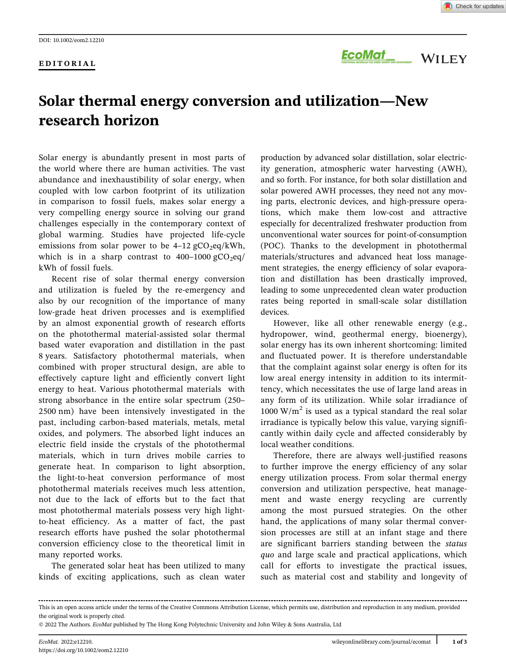#### EDITORIAL

ECOMOT NATION DANS AND DEVICE ON A MATERIAL FOR ORIEN DISTRICT AND DISTRICT AND DEVICE ON THE TYPE OF THE TYPE

# Solar thermal energy conversion and utilization—New research horizon

Solar energy is abundantly present in most parts of the world where there are human activities. The vast abundance and inexhaustibility of solar energy, when coupled with low carbon footprint of its utilization in comparison to fossil fuels, makes solar energy a very compelling energy source in solving our grand challenges especially in the contemporary context of global warming. Studies have projected life-cycle emissions from solar power to be  $4-12 \text{ gCO}_2\text{eq}/kWh$ , which is in a sharp contrast to  $400-1000 \text{ gCO}_2$ eq/ kWh of fossil fuels.

Recent rise of solar thermal energy conversion and utilization is fueled by the re-emergency and also by our recognition of the importance of many low-grade heat driven processes and is exemplified by an almost exponential growth of research efforts on the photothermal material-assisted solar thermal based water evaporation and distillation in the past 8 years. Satisfactory photothermal materials, when combined with proper structural design, are able to effectively capture light and efficiently convert light energy to heat. Various photothermal materials with strong absorbance in the entire solar spectrum (250– 2500 nm) have been intensively investigated in the past, including carbon-based materials, metals, metal oxides, and polymers. The absorbed light induces an electric field inside the crystals of the photothermal materials, which in turn drives mobile carries to generate heat. In comparison to light absorption, the light-to-heat conversion performance of most photothermal materials receives much less attention, not due to the lack of efforts but to the fact that most photothermal materials possess very high lightto-heat efficiency. As a matter of fact, the past research efforts have pushed the solar photothermal conversion efficiency close to the theoretical limit in many reported works.

The generated solar heat has been utilized to many kinds of exciting applications, such as clean water

production by advanced solar distillation, solar electricity generation, atmospheric water harvesting (AWH), and so forth. For instance, for both solar distillation and solar powered AWH processes, they need not any moving parts, electronic devices, and high-pressure operations, which make them low-cost and attractive especially for decentralized freshwater production from unconventional water sources for point-of-consumption (POC). Thanks to the development in photothermal materials/structures and advanced heat loss management strategies, the energy efficiency of solar evaporation and distillation has been drastically improved, leading to some unprecedented clean water production rates being reported in small-scale solar distillation devices.

However, like all other renewable energy (e.g., hydropower, wind, geothermal energy, bioenergy), solar energy has its own inherent shortcoming: limited and fluctuated power. It is therefore understandable that the complaint against solar energy is often for its low areal energy intensity in addition to its intermittency, which necessitates the use of large land areas in any form of its utilization. While solar irradiance of 1000 W/ $m<sup>2</sup>$  is used as a typical standard the real solar irradiance is typically below this value, varying significantly within daily cycle and affected considerably by local weather conditions.

Therefore, there are always well-justified reasons to further improve the energy efficiency of any solar energy utilization process. From solar thermal energy conversion and utilization perspective, heat management and waste energy recycling are currently among the most pursued strategies. On the other hand, the applications of many solar thermal conversion processes are still at an infant stage and there are significant barriers standing between the status quo and large scale and practical applications, which call for efforts to investigate the practical issues, such as material cost and stability and longevity of

This is an open access article under the terms of the [Creative Commons Attribution](http://creativecommons.org/licenses/by/4.0/) License, which permits use, distribution and reproduction in any medium, provided the original work is properly cited.

<sup>© 2022</sup> The Authors. EcoMat published by The Hong Kong Polytechnic University and John Wiley & Sons Australia, Ltd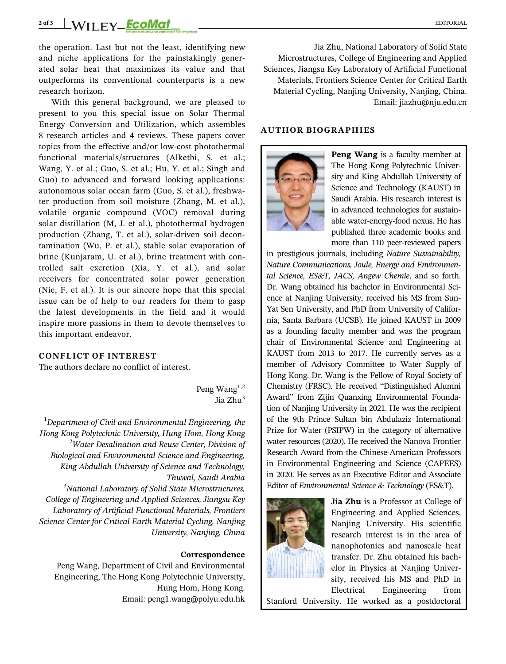# 2 of 3 WII FY **ECOMat**

the operation. Last but not the least, identifying new and niche applications for the painstakingly generated solar heat that maximizes its value and that outperforms its conventional counterparts is a new research horizon.

With this general background, we are pleased to present to you this special issue on Solar Thermal Energy Conversion and Utilization, which assembles 8 research articles and 4 reviews. These papers cover topics from the effective and/or low-cost photothermal functional materials/structures (Alketbi, S. et al.; Wang, Y. et al.; Guo, S. et al.; Hu, Y. et al.; Singh and Guo) to advanced and forward looking applications: autonomous solar ocean farm (Guo, S. et al.), freshwater production from soil moisture (Zhang, M. et al.), volatile organic compound (VOC) removal during solar distillation (M, J. et al.), photothermal hydrogen production (Zhang, T. et al.), solar-driven soil decontamination (Wu, P. et al.), stable solar evaporation of brine (Kunjaram, U. et al.), brine treatment with controlled salt excretion (Xia, Y. et al.), and solar receivers for concentrated solar power generation (Nie, F. et al.). It is our sincere hope that this special issue can be of help to our readers for them to gasp the latest developments in the field and it would inspire more passions in them to devote themselves to this important endeavor.

## CONFLICT OF INTEREST

The authors declare no conflict of interest.

Peng Wang<sup>1,2</sup> Jia Zhu<sup>3</sup>

 $^1$ Department of Civil and Environmental Engineering, the Hong Kong Polytechnic University, Hung Hom, Hong Kong  $^2$ Water Desalination and Reuse Center, Division of Biological and Environmental Science and Engineering, King Abdullah University of Science and Technology, Thuwal, Saudi Arabia

<sup>3</sup>National Laboratory of Solid State Microstructures, College of Engineering and Applied Sciences, Jiangsu Key Laboratory of Artificial Functional Materials, Frontiers Science Center for Critical Earth Material Cycling, Nanjing University, Nanjing, China

#### Correspondence

Peng Wang, Department of Civil and Environmental Engineering, The Hong Kong Polytechnic University, Hung Hom, Hong Kong. Email: [peng1.wang@polyu.edu.hk](mailto:peng1.wang@polyu.edu.hk)

Jia Zhu, National Laboratory of Solid State Microstructures, College of Engineering and Applied Sciences, Jiangsu Key Laboratory of Artificial Functional Materials, Frontiers Science Center for Critical Earth Material Cycling, Nanjing University, Nanjing, China. Email: [jiazhu@nju.edu.cn](mailto:jiazhu@nju.edu.cn)

### AUTHOR BIOGRAPHIES



Peng Wang is a faculty member at The Hong Kong Polytechnic University and King Abdullah University of Science and Technology (KAUST) in Saudi Arabia. His research interest is in advanced technologies for sustainable water-energy-food nexus. He has published three academic books and more than 110 peer-reviewed papers

in prestigious journals, including Nature Sustainability, Nature Communications, Joule, Energy and Environmental Science, ES&T, JACS, Angew Chemie, and so forth. Dr. Wang obtained his bachelor in Environmental Science at Nanjing University, received his MS from Sun-Yat Sen University, and PhD from University of California, Santa Barbara (UCSB). He joined KAUST in 2009 as a founding faculty member and was the program chair of Environmental Science and Engineering at KAUST from 2013 to 2017. He currently serves as a member of Advisory Committee to Water Supply of Hong Kong. Dr. Wang is the Fellow of Royal Society of Chemistry (FRSC). He received "Distinguished Alumni Award" from Zijin Quanxing Environmental Foundation of Nanjing University in 2021. He was the recipient of the 9th Prince Sultan bin Abdulaziz International Prize for Water (PSIPW) in the category of alternative water resources (2020). He received the Nanova Frontier Research Award from the Chinese-American Professors in Environmental Engineering and Science (CAPEES) in 2020. He serves as an Executive Editor and Associate Editor of Environmental Science & Technology (ES&T).



Jia Zhu is a Professor at College of Engineering and Applied Sciences, Nanjing University. His scientific research interest is in the area of nanophotonics and nanoscale heat transfer. Dr. Zhu obtained his bachelor in Physics at Nanjing University, received his MS and PhD in Electrical Engineering from

Stanford University. He worked as a postdoctoral